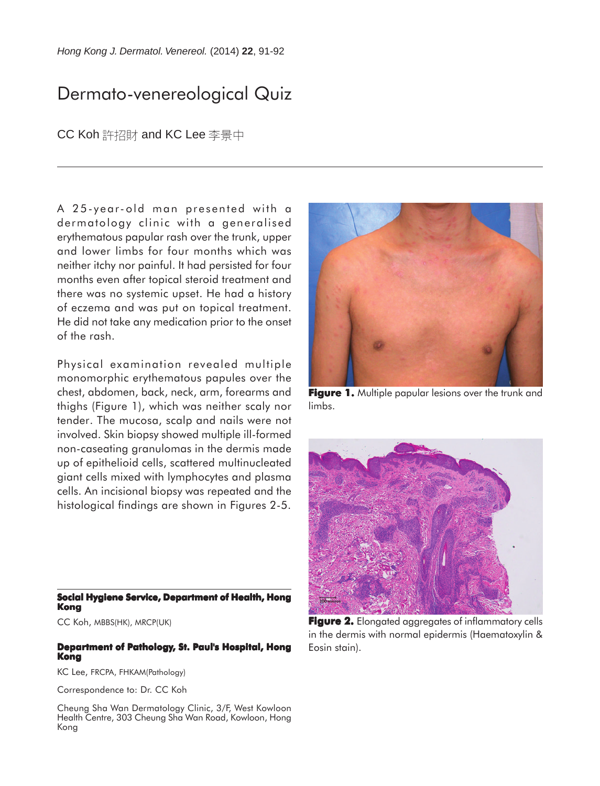# Dermato-venereological Quiz

### CC Koh 許招財 and KC Lee 李景中

A 25-year-old man presented with a dermatology clinic with a generalised erythematous papular rash over the trunk, upper and lower limbs for four months which was neither itchy nor painful. It had persisted for four months even after topical steroid treatment and there was no systemic upset. He had a history of eczema and was put on topical treatment. He did not take any medication prior to the onset of the rash.

Physical examination revealed multiple monomorphic erythematous papules over the chest, abdomen, back, neck, arm, forearms and thighs (Figure 1), which was neither scaly nor tender. The mucosa, scalp and nails were not involved. Skin biopsy showed multiple ill-formed non-caseating granulomas in the dermis made up of epithelioid cells, scattered multinucleated giant cells mixed with lymphocytes and plasma cells. An incisional biopsy was repeated and the histological findings are shown in Figures 2-5.

**Social Hygiene Service, Department of Health, Hong Kong**

CC Koh, MBBS(HK), MRCP(UK)

#### **Department of Pathology, St. Paul's Hospital, Hong Kong**

KC Lee, FRCPA, FHKAM(Pathology)

Correspondence to: Dr. CC Koh

Cheung Sha Wan Dermatology Clinic, 3/F, West Kowloon Health Centre, 303 Cheung Sha Wan Road, Kowloon, Hong Kong



**Figure 1.** Multiple papular lesions over the trunk and limbs.



**Figure 2.** Elongated aggregates of inflammatory cells in the dermis with normal epidermis (Haematoxylin & Eosin stain).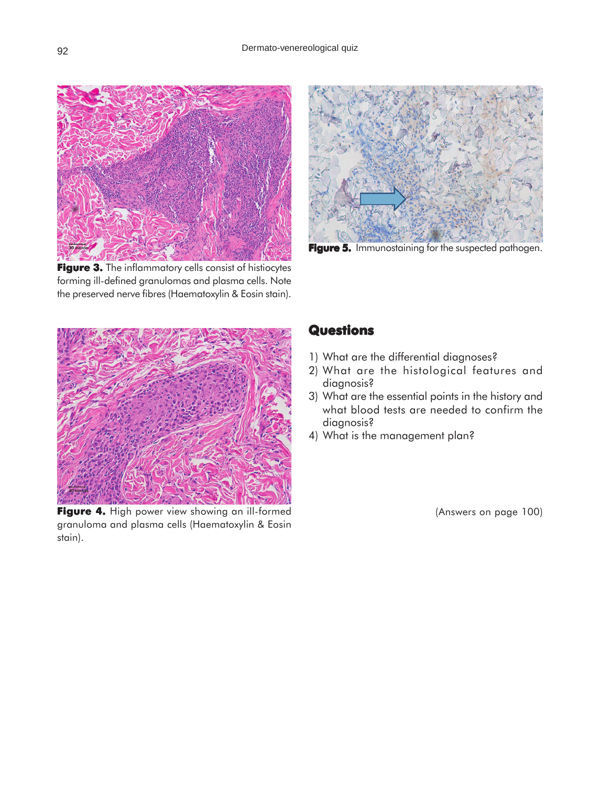

Figure 3. The inflammatory cells consist of histiocytes forming ill-defined granulomas and plasma cells. Note the preserved nerve fibres (Haematoxylin & Eosin stain).



Figure 5. Immunostaining for the suspected pathogen.



Figure 4. High power view showing an ill-formed granuloma and plasma cells (Haematoxylin & Eosin stain).

## **Questions**

- 1) What are the differential diagnoses?
- 2) What are the histological features and diagnosis?
- 3) What are the essential points in the history and what blood tests are needed to confirm the diagnosis?
- 4) What is the management plan?

(Answers on page 100)